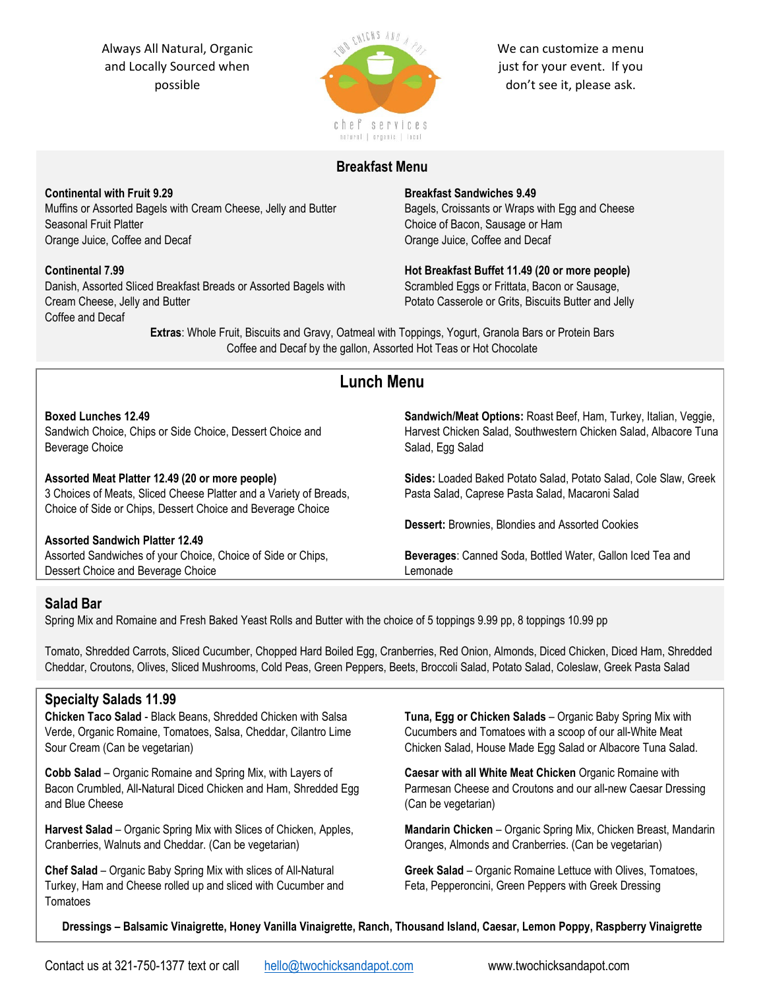Always All Natural, Organic and Locally Sourced when possible



We can customize a menu just for your event. If you don't see it, please ask.

# **Breakfast Menu**

**Continental with Fruit 9.29** Muffins or Assorted Bagels with Cream Cheese, Jelly and Butter Seasonal Fruit Platter Orange Juice, Coffee and Decaf

### **Continental 7.99**

Danish, Assorted Sliced Breakfast Breads or Assorted Bagels with Cream Cheese, Jelly and Butter Coffee and Decaf

### **Breakfast Sandwiches 9.49**

Bagels, Croissants or Wraps with Egg and Cheese Choice of Bacon, Sausage or Ham Orange Juice, Coffee and Decaf

**Hot Breakfast Buffet 11.49 (20 or more people)** Scrambled Eggs or Frittata, Bacon or Sausage, Potato Casserole or Grits, Biscuits Butter and Jelly

**Extras**: Whole Fruit, Biscuits and Gravy, Oatmeal with Toppings, Yogurt, Granola Bars or Protein Bars Coffee and Decaf by the gallon, Assorted Hot Teas or Hot Chocolate

# **Lunch Menu**

**Boxed Lunches 12.49** Sandwich Choice, Chips or Side Choice, Dessert Choice and Beverage Choice **Assorted Meat Platter 12.49 (20 or more people)** 3 Choices of Meats, Sliced Cheese Platter and a Variety of Breads, Choice of Side or Chips, Dessert Choice and Beverage Choice **Assorted Sandwich Platter 12.49** Assorted Sandwiches of your Choice, Choice of Side or Chips, Dessert Choice and Beverage Choice **Sandwich/Meat Options:** Roast Beef, Ham, Turkey, Italian, Veggie, Harvest Chicken Salad, Southwestern Chicken Salad, Albacore Tuna Salad, Egg Salad **Sides:** Loaded Baked Potato Salad, Potato Salad, Cole Slaw, Greek Pasta Salad, Caprese Pasta Salad, Macaroni Salad **Dessert:** Brownies, Blondies and Assorted Cookies **Beverages**: Canned Soda, Bottled Water, Gallon Iced Tea and Lemonade

# **Salad Bar**

Spring Mix and Romaine and Fresh Baked Yeast Rolls and Butter with the choice of 5 toppings 9.99 pp, 8 toppings 10.99 pp

Tomato, Shredded Carrots, Sliced Cucumber, Chopped Hard Boiled Egg, Cranberries, Red Onion, Almonds, Diced Chicken, Diced Ham, Shredded Cheddar, Croutons, Olives, Sliced Mushrooms, Cold Peas, Green Peppers, Beets, Broccoli Salad, Potato Salad, Coleslaw, Greek Pasta Salad

# **Specialty Salads 11.99**

**Chicken Taco Salad** - Black Beans, Shredded Chicken with Salsa Verde, Organic Romaine, Tomatoes, Salsa, Cheddar, Cilantro Lime Sour Cream (Can be vegetarian)

**Cobb Salad** – Organic Romaine and Spring Mix, with Layers of Bacon Crumbled, All-Natural Diced Chicken and Ham, Shredded Egg and Blue Cheese

**Harvest Salad** – Organic Spring Mix with Slices of Chicken, Apples, Cranberries, Walnuts and Cheddar. (Can be vegetarian)

**Chef Salad** – Organic Baby Spring Mix with slices of All-Natural Turkey, Ham and Cheese rolled up and sliced with Cucumber and **Tomatoes** 

**Tuna, Egg or Chicken Salads** – Organic Baby Spring Mix with Cucumbers and Tomatoes with a scoop of our all-White Meat Chicken Salad, House Made Egg Salad or Albacore Tuna Salad.

**Caesar with all White Meat Chicken** Organic Romaine with Parmesan Cheese and Croutons and our all-new Caesar Dressing (Can be vegetarian)

**Mandarin Chicken** – Organic Spring Mix, Chicken Breast, Mandarin Oranges, Almonds and Cranberries. (Can be vegetarian)

**Greek Salad** – Organic Romaine Lettuce with Olives, Tomatoes, Feta, Pepperoncini, Green Peppers with Greek Dressing

**Dressings – Balsamic Vinaigrette, Honey Vanilla Vinaigrette, Ranch, Thousand Island, Caesar, Lemon Poppy, Raspberry Vinaigrette**